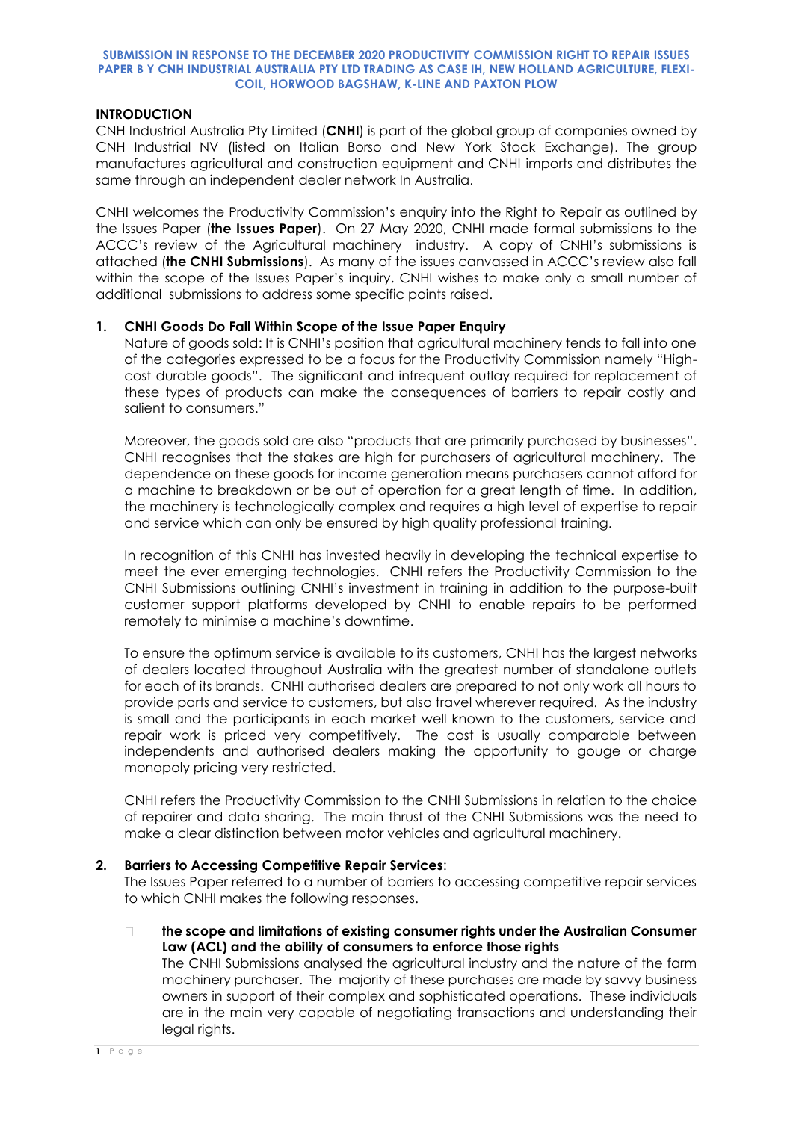## **SUBMISSION IN RESPONSE TO THE DECEMBER 2020 PRODUCTIVITY COMMISSION RIGHT TO REPAIR ISSUES PAPER B Y CNH INDUSTRIAL AUSTRALIA PTY LTD TRADING AS CASE IH, NEW HOLLAND AGRICULTURE, FLEXI-COIL, HORWOOD BAGSHAW, K-LINE AND PAXTON PLOW**

## **INTRODUCTION**

CNH Industrial Australia Pty Limited (**CNHI**) is part of the global group of companies owned by CNH Industrial NV (listed on Italian Borso and New York Stock Exchange). The group manufactures agricultural and construction equipment and CNHI imports and distributes the same through an independent dealer network In Australia.

CNHI welcomes the Productivity Commission's enquiry into the Right to Repair as outlined by the Issues Paper (**the Issues Paper**). On 27 May 2020, CNHI made formal submissions to the ACCC's review of the Agricultural machinery industry. A copy of CNHI's submissions is attached (**the CNHI Submissions**). As many of the issues canvassed in ACCC's review also fall within the scope of the Issues Paper's inquiry, CNHI wishes to make only a small number of additional submissions to address some specific points raised.

# **1. CNHI Goods Do Fall Within Scope of the Issue Paper Enquiry**

Nature of goods sold: It is CNHI's position that agricultural machinery tends to fall into one of the categories expressed to be a focus for the Productivity Commission namely "Highcost durable goods". The significant and infrequent outlay required for replacement of these types of products can make the consequences of barriers to repair costly and salient to consumers."

Moreover, the goods sold are also "products that are primarily purchased by businesses". CNHI recognises that the stakes are high for purchasers of agricultural machinery. The dependence on these goods for income generation means purchasers cannot afford for a machine to breakdown or be out of operation for a great length of time. In addition, the machinery is technologically complex and requires a high level of expertise to repair and service which can only be ensured by high quality professional training.

In recognition of this CNHI has invested heavily in developing the technical expertise to meet the ever emerging technologies. CNHI refers the Productivity Commission to the CNHI Submissions outlining CNHI's investment in training in addition to the purpose-built customer support platforms developed by CNHI to enable repairs to be performed remotely to minimise a machine's downtime.

To ensure the optimum service is available to its customers, CNHI has the largest networks of dealers located throughout Australia with the greatest number of standalone outlets for each of its brands. CNHI authorised dealers are prepared to not only work all hours to provide parts and service to customers, but also travel wherever required. As the industry is small and the participants in each market well known to the customers, service and repair work is priced very competitively. The cost is usually comparable between independents and authorised dealers making the opportunity to gouge or charge monopoly pricing very restricted.

CNHI refers the Productivity Commission to the CNHI Submissions in relation to the choice of repairer and data sharing. The main thrust of the CNHI Submissions was the need to make a clear distinction between motor vehicles and agricultural machinery.

## **2. Barriers to Accessing Competitive Repair Services**:

The Issues Paper referred to a number of barriers to accessing competitive repair services to which CNHI makes the following responses.

 $\Box$ **the scope and limitations of existing consumer rights under the Australian Consumer Law (ACL) and the ability of consumers to enforce those rights** 

The CNHI Submissions analysed the agricultural industry and the nature of the farm machinery purchaser. The majority of these purchases are made by savvy business owners in support of their complex and sophisticated operations. These individuals are in the main very capable of negotiating transactions and understanding their legal rights.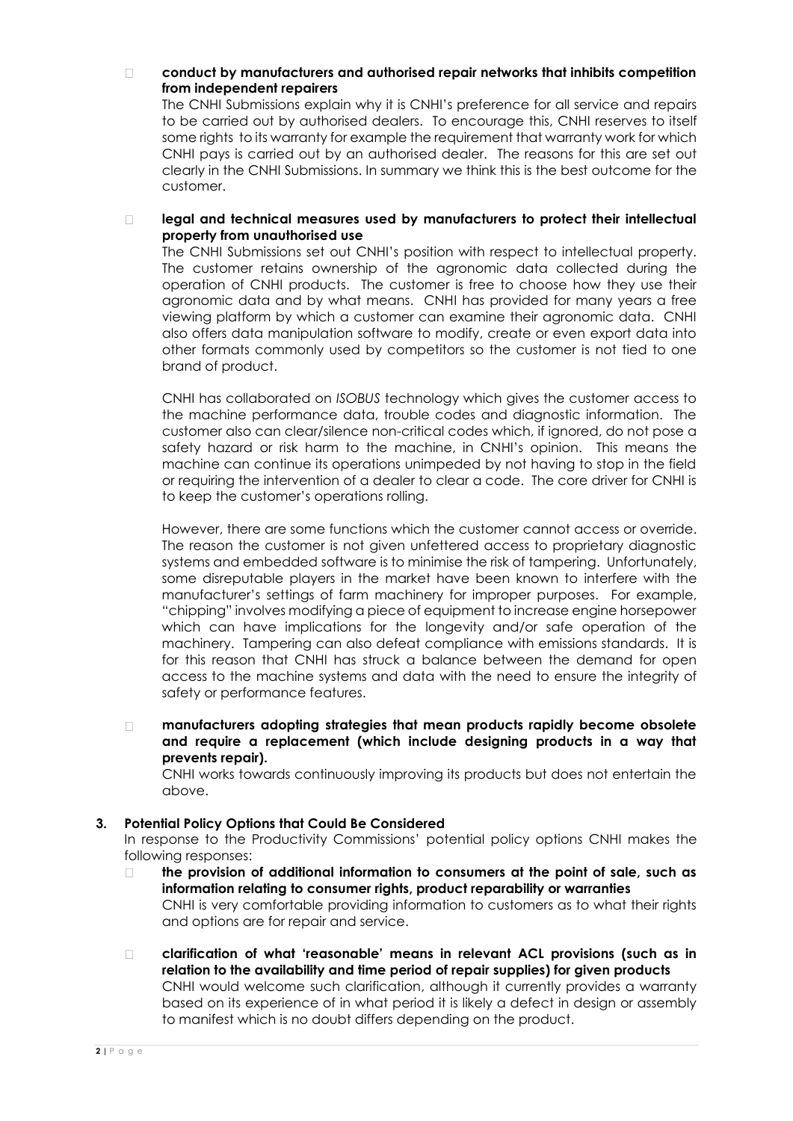#### **conduct by manufacturers and authorised repair networks that inhibits competition**   $\Box$ **from independent repairers**

The CNHI Submissions explain why it is CNHI's preference for all service and repairs to be carried out by authorised dealers. To encourage this, CNHI reserves to itself some rights to its warranty for example the requirement that warranty work for which CNHI pays is carried out by an authorised dealer. The reasons for this are set out clearly in the CNHI Submissions. In summary we think this is the best outcome for the customer.

### **legal and technical measures used by manufacturers to protect their intellectual**   $\Box$ **property from unauthorised use**

The CNHI Submissions set out CNHI's position with respect to intellectual property. The customer retains ownership of the agronomic data collected during the operation of CNHI products. The customer is free to choose how they use their agronomic data and by what means. CNHI has provided for many years a free viewing platform by which a customer can examine their agronomic data. CNHI also offers data manipulation software to modify, create or even export data into other formats commonly used by competitors so the customer is not tied to one brand of product.

CNHI has collaborated on *ISOBUS* technology which gives the customer access to the machine performance data, trouble codes and diagnostic information. The customer also can clear/silence non-critical codes which, if ignored, do not pose a safety hazard or risk harm to the machine, in CNHI's opinion. This means the machine can continue its operations unimpeded by not having to stop in the field or requiring the intervention of a dealer to clear a code. The core driver for CNHI is to keep the customer's operations rolling.

However, there are some functions which the customer cannot access or override. The reason the customer is not given unfettered access to proprietary diagnostic systems and embedded software is to minimise the risk of tampering. Unfortunately, some disreputable players in the market have been known to interfere with the manufacturer's settings of farm machinery for improper purposes. For example, "chipping" involves modifying a piece of equipment to increase engine horsepower which can have implications for the longevity and/or safe operation of the machinery. Tampering can also defeat compliance with emissions standards. It is for this reason that CNHI has struck a balance between the demand for open access to the machine systems and data with the need to ensure the integrity of safety or performance features.

**manufacturers adopting strategies that mean products rapidly become obsolete**   $\Box$ **and require a replacement (which include designing products in a way that prevents repair).** 

CNHI works towards continuously improving its products but does not entertain the above.

# **3. Potential Policy Options that Could Be Considered**

In response to the Productivity Commissions' potential policy options CNHI makes the following responses:

- **the provision of additional information to consumers at the point of sale, such as**   $\Box$ **information relating to consumer rights, product reparability or warranties**  CNHI is very comfortable providing information to customers as to what their rights and options are for repair and service.
- **clarification of what 'reasonable' means in relevant ACL provisions (such as in**   $\Box$ **relation to the availability and time period of repair supplies) for given products** CNHI would welcome such clarification, although it currently provides a warranty based on its experience of in what period it is likely a defect in design or assembly to manifest which is no doubt differs depending on the product.